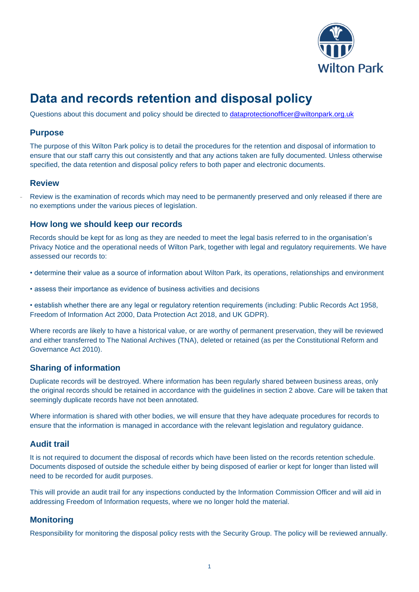

# **Data and records retention and disposal policy**

Questions about this document and policy should be directed to [dataprotectionofficer@wiltonpark.org.uk](mailto:dataprotectionofficer@wiltonpark.org.uk)

#### **Purpose**

The purpose of this Wilton Park policy is to detail the procedures for the retention and disposal of information to ensure that our staff carry this out consistently and that any actions taken are fully documented. Unless otherwise specified, the data retention and disposal policy refers to both paper and electronic documents.

#### **Review**

Review is the examination of records which may need to be permanently preserved and only released if there are no exemptions under the various pieces of legislation.

#### **How long we should keep our records**

Records should be kept for as long as they are needed to meet the legal basis referred to in the organisation's Privacy Notice and the operational needs of Wilton Park, together with legal and regulatory requirements. We have assessed our records to:

- determine their value as a source of information about Wilton Park, its operations, relationships and environment
- assess their importance as evidence of business activities and decisions

• establish whether there are any legal or regulatory retention requirements (including: Public Records Act 1958, Freedom of Information Act 2000, Data Protection Act 2018, and UK GDPR).

Where records are likely to have a historical value, or are worthy of permanent preservation, they will be reviewed and either transferred to The National Archives (TNA), deleted or retained (as per the Constitutional Reform and Governance Act 2010).

#### **Sharing of information**

Duplicate records will be destroyed. Where information has been regularly shared between business areas, only the original records should be retained in accordance with the guidelines in section 2 above. Care will be taken that seemingly duplicate records have not been annotated.

Where information is shared with other bodies, we will ensure that they have adequate procedures for records to ensure that the information is managed in accordance with the relevant legislation and regulatory guidance.

#### **Audit trail**

It is not required to document the disposal of records which have been listed on the records retention schedule. Documents disposed of outside the schedule either by being disposed of earlier or kept for longer than listed will need to be recorded for audit purposes.

This will provide an audit trail for any inspections conducted by the Information Commission Officer and will aid in addressing Freedom of Information requests, where we no longer hold the material.

#### **Monitoring**

Responsibility for monitoring the disposal policy rests with the Security Group. The policy will be reviewed annually.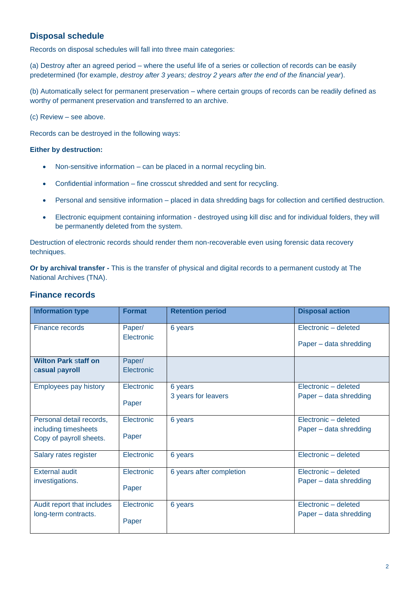### **Disposal schedule**

Records on disposal schedules will fall into three main categories:

(a) Destroy after an agreed period – where the useful life of a series or collection of records can be easily predetermined (for example, *destroy after 3 years; destroy 2 years after the end of the financial year*).

(b) Automatically select for permanent preservation – where certain groups of records can be readily defined as worthy of permanent preservation and transferred to an archive.

(c) Review – see above.

Records can be destroyed in the following ways:

#### **Either by destruction:**

- Non-sensitive information can be placed in a normal recycling bin.
- Confidential information fine crosscut shredded and sent for recycling.
- Personal and sensitive information placed in data shredding bags for collection and certified destruction.
- Electronic equipment containing information destroyed using kill disc and for individual folders, they will be permanently deleted from the system.

Destruction of electronic records should render them non-recoverable even using forensic data recovery techniques.

**Or by archival transfer** *-* This is the transfer of physical and digital records to a permanent custody at The National Archives (TNA).

#### **Finance records**

| <b>Information type</b>                                                     | <b>Format</b>        | <b>Retention period</b>        | <b>Disposal action</b>                         |
|-----------------------------------------------------------------------------|----------------------|--------------------------------|------------------------------------------------|
| <b>Finance records</b>                                                      | Paper/<br>Electronic | 6 years                        | Electronic - deleted<br>Paper – data shredding |
| <b>Wilton Park staff on</b><br>casual payroll                               | Paper/<br>Electronic |                                |                                                |
| <b>Employees pay history</b>                                                | Electronic<br>Paper  | 6 years<br>3 years for leavers | Electronic - deleted<br>Paper - data shredding |
| Personal detail records,<br>including timesheets<br>Copy of payroll sheets. | Electronic<br>Paper  | 6 years                        | Electronic - deleted<br>Paper - data shredding |
| Salary rates register                                                       | Electronic           | 6 years                        | Electronic - deleted                           |
| <b>External audit</b><br>investigations.                                    | Electronic<br>Paper  | 6 years after completion       | Electronic - deleted<br>Paper - data shredding |
| Audit report that includes<br>long-term contracts.                          | Electronic<br>Paper  | 6 years                        | Electronic - deleted<br>Paper – data shredding |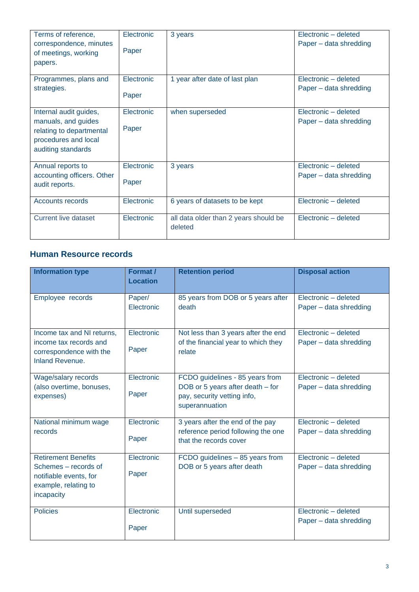| Terms of reference,                                                                                                     | Electronic          | 3 years                                          | Electronic - deleted                           |
|-------------------------------------------------------------------------------------------------------------------------|---------------------|--------------------------------------------------|------------------------------------------------|
| correspondence, minutes<br>of meetings, working                                                                         | Paper               |                                                  | Paper – data shredding                         |
| papers.                                                                                                                 |                     |                                                  |                                                |
| Programmes, plans and                                                                                                   | Electronic          | 1 year after date of last plan                   | Electronic - deleted                           |
| strategies.                                                                                                             | Paper               |                                                  | Paper - data shredding                         |
| Internal audit guides,<br>manuals, and guides<br>relating to departmental<br>procedures and local<br>auditing standards | Electronic<br>Paper | when superseded                                  | Electronic - deleted<br>Paper - data shredding |
| Annual reports to                                                                                                       | Electronic          | 3 years                                          | Electronic - deleted                           |
| accounting officers. Other<br>audit reports.                                                                            | Paper               |                                                  | Paper - data shredding                         |
| Accounts records                                                                                                        | Electronic          | 6 years of datasets to be kept                   | Electronic - deleted                           |
| <b>Current live dataset</b>                                                                                             | Electronic          | all data older than 2 years should be<br>deleted | Electronic - deleted                           |

## **Human Resource records**

| <b>Information type</b>                                                                                            | Format /<br><b>Location</b> | <b>Retention period</b>                                                                                              | <b>Disposal action</b>                         |
|--------------------------------------------------------------------------------------------------------------------|-----------------------------|----------------------------------------------------------------------------------------------------------------------|------------------------------------------------|
| Employee records                                                                                                   | Paper/<br>Electronic        | 85 years from DOB or 5 years after<br>death                                                                          | Electronic - deleted<br>Paper - data shredding |
| Income tax and NI returns,<br>income tax records and<br>correspondence with the<br>Inland Revenue.                 | Electronic<br>Paper         | Not less than 3 years after the end<br>of the financial year to which they<br>relate                                 | Electronic - deleted<br>Paper - data shredding |
| Wage/salary records<br>(also overtime, bonuses,<br>expenses)                                                       | Electronic<br>Paper         | FCDO guidelines - 85 years from<br>DOB or 5 years after death – for<br>pay, security vetting info,<br>superannuation | Electronic - deleted<br>Paper - data shredding |
| National minimum wage<br>records                                                                                   | Electronic<br>Paper         | 3 years after the end of the pay<br>reference period following the one<br>that the records cover                     | Electronic - deleted<br>Paper - data shredding |
| <b>Retirement Benefits</b><br>Schemes – records of<br>notifiable events, for<br>example, relating to<br>incapacity | Electronic<br>Paper         | FCDO guidelines - 85 years from<br>DOB or 5 years after death                                                        | Electronic - deleted<br>Paper - data shredding |
| <b>Policies</b>                                                                                                    | Electronic<br>Paper         | Until superseded                                                                                                     | Electronic - deleted<br>Paper - data shredding |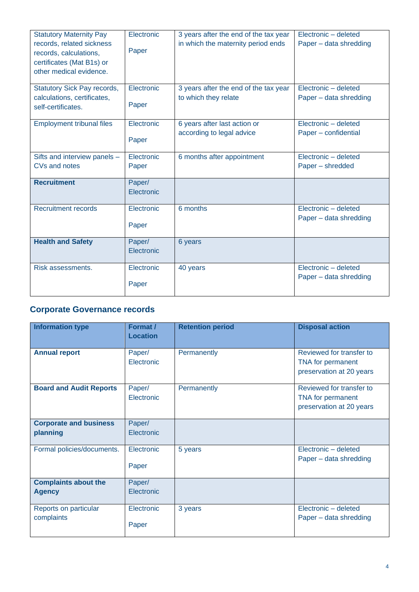| <b>Statutory Maternity Pay</b><br>records, related sickness<br>records, calculations,<br>certificates (Mat B1s) or<br>other medical evidence. | Electronic<br>Paper  | 3 years after the end of the tax year<br>in which the maternity period ends | Electronic - deleted<br>Paper - data shredding |
|-----------------------------------------------------------------------------------------------------------------------------------------------|----------------------|-----------------------------------------------------------------------------|------------------------------------------------|
| <b>Statutory Sick Pay records,</b><br>calculations, certificates,<br>self-certificates.                                                       | Electronic<br>Paper  | 3 years after the end of the tax year<br>to which they relate               | Electronic - deleted<br>Paper - data shredding |
| <b>Employment tribunal files</b>                                                                                                              | Electronic<br>Paper  | 6 years after last action or<br>according to legal advice                   | Electronic - deleted<br>Paper - confidential   |
| Sifts and interview panels -<br>CVs and notes                                                                                                 | Electronic<br>Paper  | 6 months after appointment                                                  | Electronic - deleted<br>Paper - shredded       |
| <b>Recruitment</b>                                                                                                                            | Paper/<br>Electronic |                                                                             |                                                |
| <b>Recruitment records</b>                                                                                                                    | Electronic<br>Paper  | 6 months                                                                    | Electronic - deleted<br>Paper - data shredding |
| <b>Health and Safety</b>                                                                                                                      | Paper/<br>Electronic | 6 years                                                                     |                                                |
| Risk assessments.                                                                                                                             | Electronic<br>Paper  | 40 years                                                                    | Electronic - deleted<br>Paper - data shredding |

## **Corporate Governance records**

| <b>Information type</b>                      | Format /<br><b>Location</b> | <b>Retention period</b> | <b>Disposal action</b>                                                    |
|----------------------------------------------|-----------------------------|-------------------------|---------------------------------------------------------------------------|
| <b>Annual report</b>                         | Paper/<br>Electronic        | Permanently             | Reviewed for transfer to<br>TNA for permanent<br>preservation at 20 years |
| <b>Board and Audit Reports</b>               | Paper/<br>Electronic        | Permanently             | Reviewed for transfer to<br>TNA for permanent<br>preservation at 20 years |
| <b>Corporate and business</b><br>planning    | Paper/<br>Electronic        |                         |                                                                           |
| Formal policies/documents.                   | Electronic<br>Paper         | 5 years                 | Electronic - deleted<br>Paper - data shredding                            |
| <b>Complaints about the</b><br><b>Agency</b> | Paper/<br>Electronic        |                         |                                                                           |
| Reports on particular<br>complaints          | Electronic<br>Paper         | 3 years                 | Electronic - deleted<br>Paper - data shredding                            |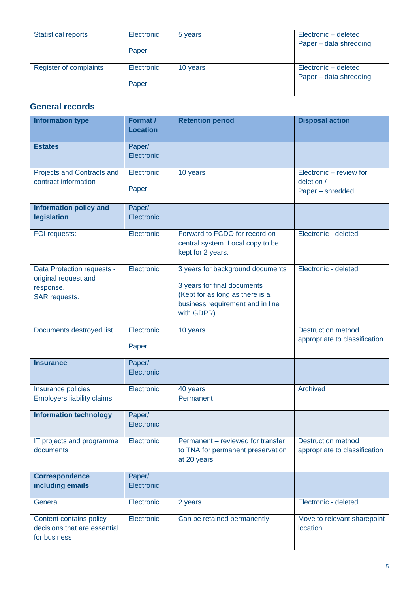| <b>Statistical reports</b> | Electronic<br>Paper | 5 years  | Electronic - deleted<br>Paper - data shredding |
|----------------------------|---------------------|----------|------------------------------------------------|
| Register of complaints     | Electronic<br>Paper | 10 years | Electronic - deleted<br>Paper - data shredding |

## **General records**

| <b>Information type</b>                                                          | Format /<br><b>Location</b> | <b>Retention period</b>                                                                                                                              | <b>Disposal action</b>                                     |
|----------------------------------------------------------------------------------|-----------------------------|------------------------------------------------------------------------------------------------------------------------------------------------------|------------------------------------------------------------|
| <b>Estates</b>                                                                   | Paper/<br>Electronic        |                                                                                                                                                      |                                                            |
| Projects and Contracts and<br>contract information                               | Electronic<br>Paper         | 10 years                                                                                                                                             | Electronic - review for<br>deletion /<br>Paper - shredded  |
| <b>Information policy and</b><br>legislation                                     | Paper/<br>Electronic        |                                                                                                                                                      |                                                            |
| FOI requests:                                                                    | Electronic                  | Forward to FCDO for record on<br>central system. Local copy to be<br>kept for 2 years.                                                               | Electronic - deleted                                       |
| Data Protection requests -<br>original request and<br>response.<br>SAR requests. | Electronic                  | 3 years for background documents<br>3 years for final documents<br>(Kept for as long as there is a<br>business requirement and in line<br>with GDPR) | Electronic - deleted                                       |
| Documents destroyed list                                                         | Electronic<br>Paper         | 10 years                                                                                                                                             | <b>Destruction method</b><br>appropriate to classification |
| <b>Insurance</b>                                                                 | Paper/<br>Electronic        |                                                                                                                                                      |                                                            |
| Insurance policies<br><b>Employers liability claims</b>                          | Electronic                  | 40 years<br>Permanent                                                                                                                                | Archived                                                   |
| <b>Information technology</b>                                                    | Paper/<br>Electronic        |                                                                                                                                                      |                                                            |
| IT projects and programme<br>documents                                           | Electronic                  | Permanent – reviewed for transfer<br>to TNA for permanent preservation<br>at 20 years                                                                | <b>Destruction method</b><br>appropriate to classification |
| <b>Correspondence</b><br>including emails                                        | Paper/<br>Electronic        |                                                                                                                                                      |                                                            |
| General                                                                          | Electronic                  | 2 years                                                                                                                                              | Electronic - deleted                                       |
| Content contains policy<br>decisions that are essential<br>for business          | Electronic                  | Can be retained permanently                                                                                                                          | Move to relevant sharepoint<br>location                    |